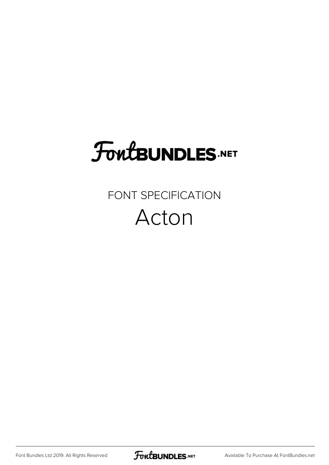# **FoutBUNDLES.NET**

### FONT SPECIFICATION Acton

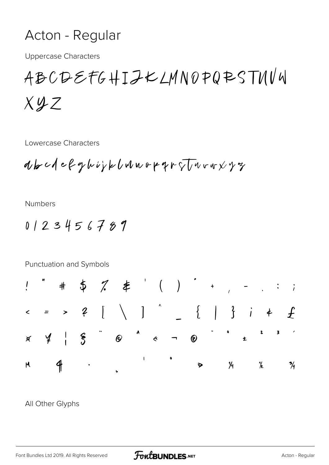### Acton - Regular

**Uppercase Characters** 

## ABCDEFGHIJKLMN0PQRSTUVU  $Xyz$

Lowercase Characters

abc1efghiykbunopqroTuruxyz

**Numbers** 

 $0123456789$ 



#### All Other Glyphs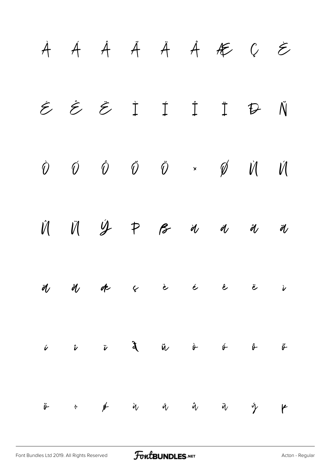